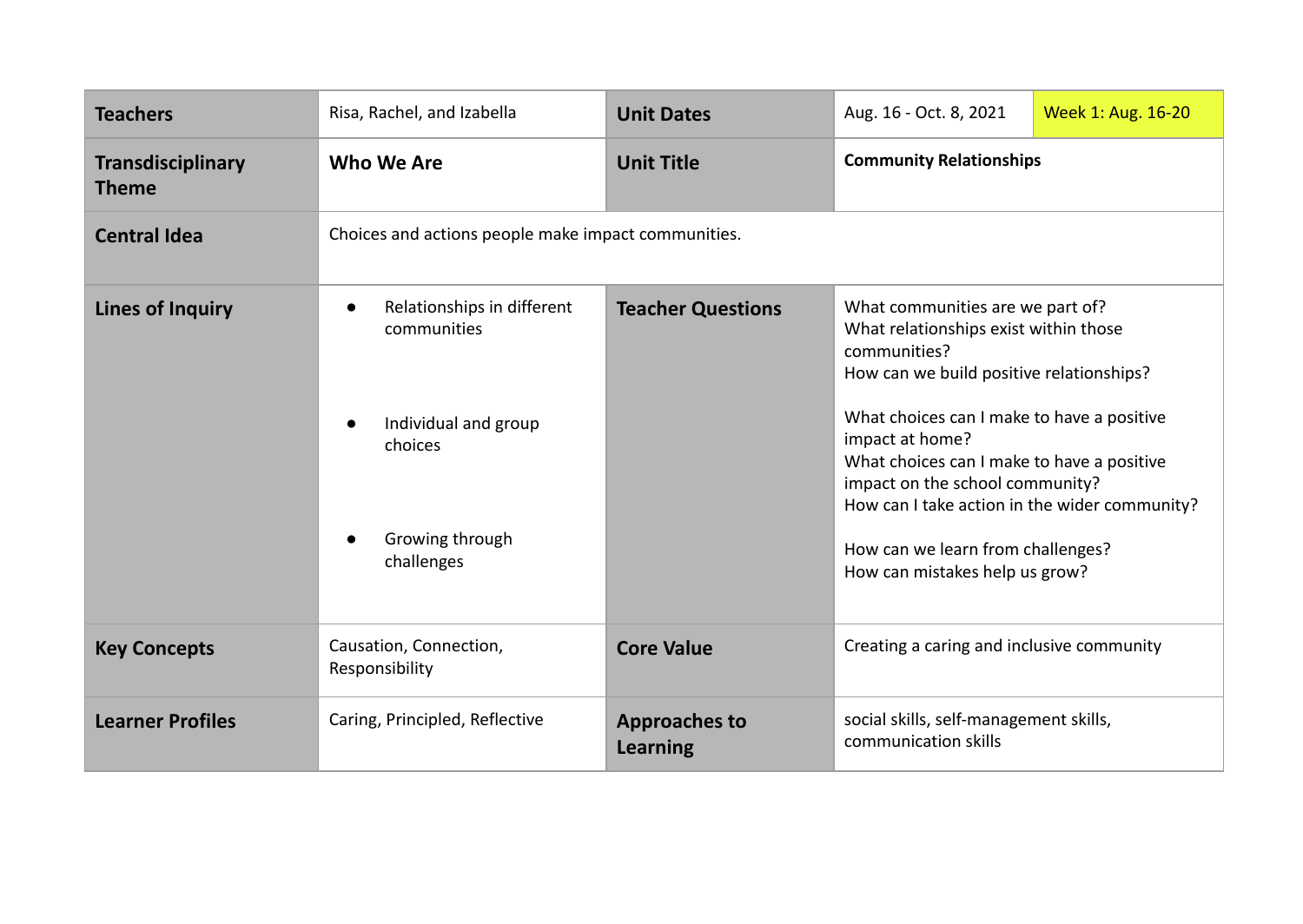| <b>Teachers</b>                          | Risa, Rachel, and Izabella                                                                                                 | <b>Unit Dates</b>                       | Aug. 16 - Oct. 8, 2021                                                                                                                                                                                                                                                                                                                                                                                          | Week 1: Aug. 16-20 |
|------------------------------------------|----------------------------------------------------------------------------------------------------------------------------|-----------------------------------------|-----------------------------------------------------------------------------------------------------------------------------------------------------------------------------------------------------------------------------------------------------------------------------------------------------------------------------------------------------------------------------------------------------------------|--------------------|
| <b>Transdisciplinary</b><br><b>Theme</b> | Who We Are                                                                                                                 | <b>Unit Title</b>                       | <b>Community Relationships</b>                                                                                                                                                                                                                                                                                                                                                                                  |                    |
| <b>Central Idea</b>                      | Choices and actions people make impact communities.                                                                        |                                         |                                                                                                                                                                                                                                                                                                                                                                                                                 |                    |
| <b>Lines of Inquiry</b>                  | Relationships in different<br>$\bullet$<br>communities<br>Individual and group<br>choices<br>Growing through<br>challenges | <b>Teacher Questions</b>                | What communities are we part of?<br>What relationships exist within those<br>communities?<br>How can we build positive relationships?<br>What choices can I make to have a positive<br>impact at home?<br>What choices can I make to have a positive<br>impact on the school community?<br>How can I take action in the wider community?<br>How can we learn from challenges?<br>How can mistakes help us grow? |                    |
| <b>Key Concepts</b>                      | Causation, Connection,<br>Responsibility                                                                                   | <b>Core Value</b>                       | Creating a caring and inclusive community                                                                                                                                                                                                                                                                                                                                                                       |                    |
| <b>Learner Profiles</b>                  | Caring, Principled, Reflective                                                                                             | <b>Approaches to</b><br><b>Learning</b> | social skills, self-management skills,<br>communication skills                                                                                                                                                                                                                                                                                                                                                  |                    |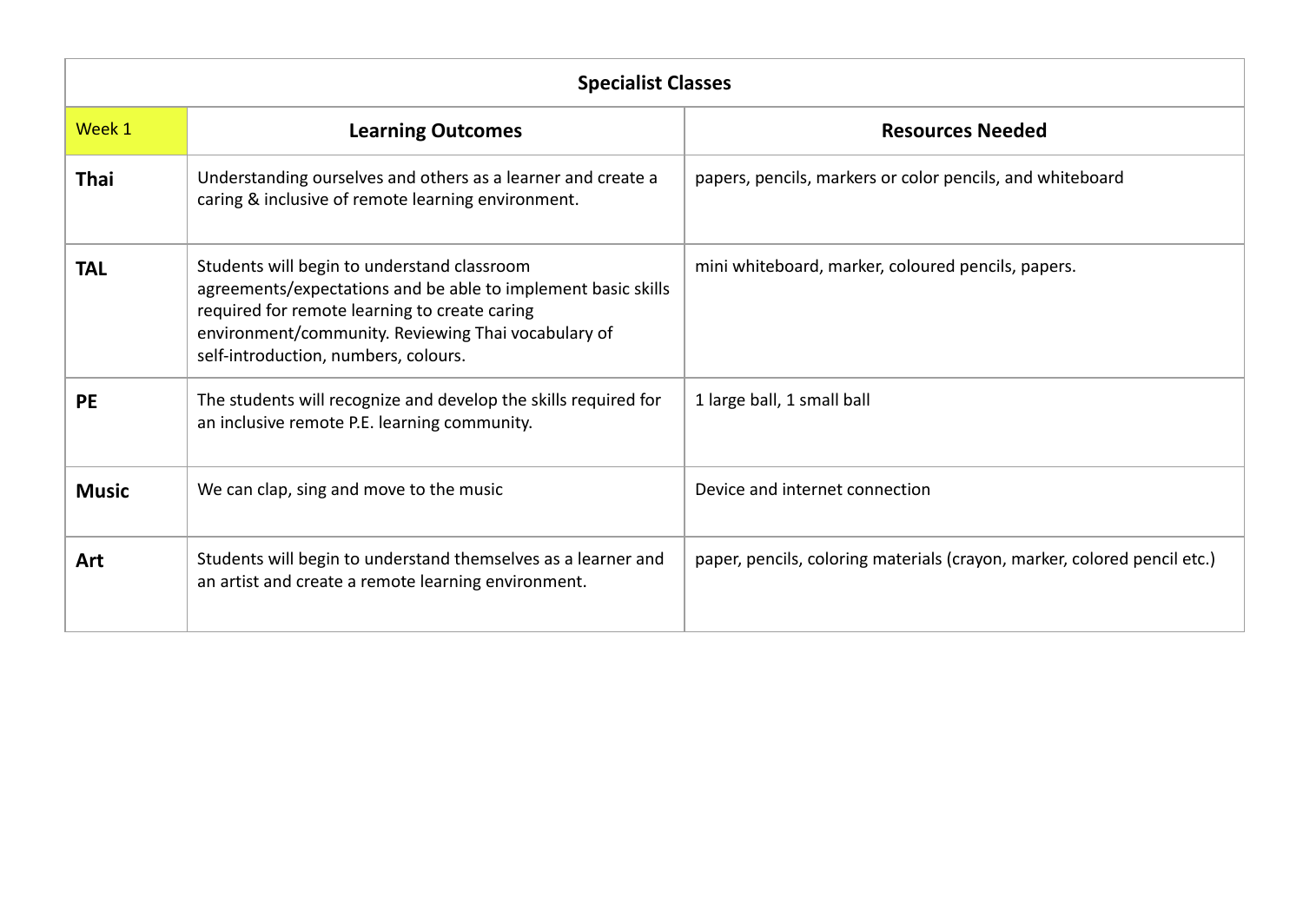| <b>Specialist Classes</b> |                                                                                                                                                                                                                                                              |                                                                          |  |  |
|---------------------------|--------------------------------------------------------------------------------------------------------------------------------------------------------------------------------------------------------------------------------------------------------------|--------------------------------------------------------------------------|--|--|
| Week 1                    | <b>Learning Outcomes</b>                                                                                                                                                                                                                                     | <b>Resources Needed</b>                                                  |  |  |
| <b>Thai</b>               | Understanding ourselves and others as a learner and create a<br>caring & inclusive of remote learning environment.                                                                                                                                           | papers, pencils, markers or color pencils, and whiteboard                |  |  |
| <b>TAL</b>                | Students will begin to understand classroom<br>agreements/expectations and be able to implement basic skills<br>required for remote learning to create caring<br>environment/community. Reviewing Thai vocabulary of<br>self-introduction, numbers, colours. | mini whiteboard, marker, coloured pencils, papers.                       |  |  |
| <b>PE</b>                 | The students will recognize and develop the skills required for<br>an inclusive remote P.E. learning community.                                                                                                                                              | 1 large ball, 1 small ball                                               |  |  |
| <b>Music</b>              | We can clap, sing and move to the music                                                                                                                                                                                                                      | Device and internet connection                                           |  |  |
| Art                       | Students will begin to understand themselves as a learner and<br>an artist and create a remote learning environment.                                                                                                                                         | paper, pencils, coloring materials (crayon, marker, colored pencil etc.) |  |  |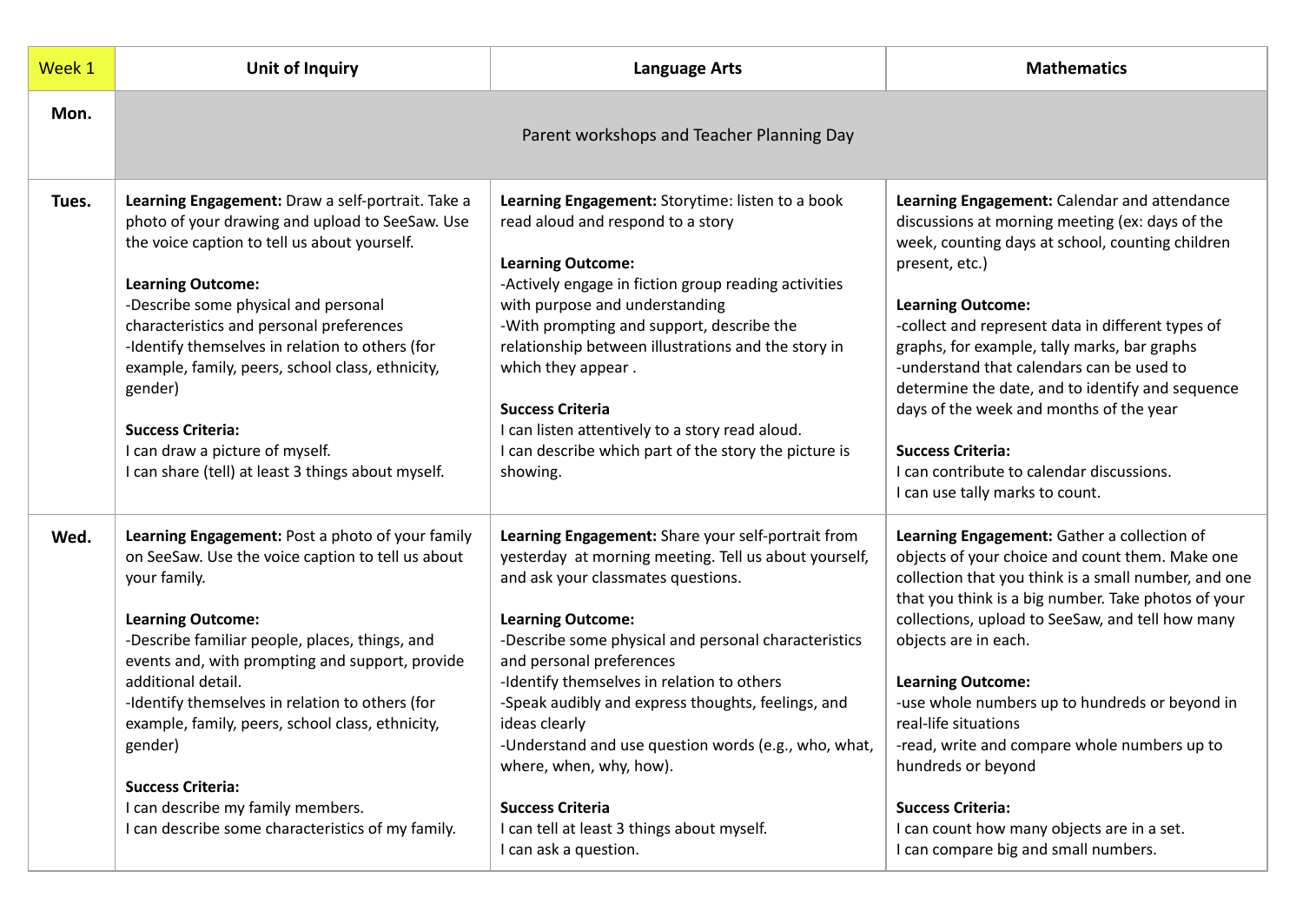| Week 1 | <b>Unit of Inquiry</b>                                                                                                                                                                                                                                                                                                                                                                                                                                                                                               | <b>Language Arts</b>                                                                                                                                                                                                                                                                                                                                                                                                                                                                                                                                                        | <b>Mathematics</b>                                                                                                                                                                                                                                                                                                                                                                                                                                                                                                                                                                      |
|--------|----------------------------------------------------------------------------------------------------------------------------------------------------------------------------------------------------------------------------------------------------------------------------------------------------------------------------------------------------------------------------------------------------------------------------------------------------------------------------------------------------------------------|-----------------------------------------------------------------------------------------------------------------------------------------------------------------------------------------------------------------------------------------------------------------------------------------------------------------------------------------------------------------------------------------------------------------------------------------------------------------------------------------------------------------------------------------------------------------------------|-----------------------------------------------------------------------------------------------------------------------------------------------------------------------------------------------------------------------------------------------------------------------------------------------------------------------------------------------------------------------------------------------------------------------------------------------------------------------------------------------------------------------------------------------------------------------------------------|
| Mon.   |                                                                                                                                                                                                                                                                                                                                                                                                                                                                                                                      | Parent workshops and Teacher Planning Day                                                                                                                                                                                                                                                                                                                                                                                                                                                                                                                                   |                                                                                                                                                                                                                                                                                                                                                                                                                                                                                                                                                                                         |
| Tues.  | Learning Engagement: Draw a self-portrait. Take a<br>photo of your drawing and upload to SeeSaw. Use<br>the voice caption to tell us about yourself.<br><b>Learning Outcome:</b><br>-Describe some physical and personal<br>characteristics and personal preferences<br>-Identify themselves in relation to others (for<br>example, family, peers, school class, ethnicity,<br>gender)<br><b>Success Criteria:</b><br>I can draw a picture of myself.<br>I can share (tell) at least 3 things about myself.          | Learning Engagement: Storytime: listen to a book<br>read aloud and respond to a story<br><b>Learning Outcome:</b><br>-Actively engage in fiction group reading activities<br>with purpose and understanding<br>-With prompting and support, describe the<br>relationship between illustrations and the story in<br>which they appear.<br><b>Success Criteria</b><br>I can listen attentively to a story read aloud.<br>I can describe which part of the story the picture is<br>showing.                                                                                    | Learning Engagement: Calendar and attendance<br>discussions at morning meeting (ex: days of the<br>week, counting days at school, counting children<br>present, etc.)<br><b>Learning Outcome:</b><br>-collect and represent data in different types of<br>graphs, for example, tally marks, bar graphs<br>-understand that calendars can be used to<br>determine the date, and to identify and sequence<br>days of the week and months of the year<br><b>Success Criteria:</b><br>I can contribute to calendar discussions.<br>I can use tally marks to count.                          |
| Wed.   | Learning Engagement: Post a photo of your family<br>on SeeSaw. Use the voice caption to tell us about<br>your family.<br><b>Learning Outcome:</b><br>-Describe familiar people, places, things, and<br>events and, with prompting and support, provide<br>additional detail.<br>-Identify themselves in relation to others (for<br>example, family, peers, school class, ethnicity,<br>gender)<br><b>Success Criteria:</b><br>I can describe my family members.<br>I can describe some characteristics of my family. | Learning Engagement: Share your self-portrait from<br>yesterday at morning meeting. Tell us about yourself,<br>and ask your classmates questions.<br><b>Learning Outcome:</b><br>-Describe some physical and personal characteristics<br>and personal preferences<br>-Identify themselves in relation to others<br>-Speak audibly and express thoughts, feelings, and<br>ideas clearly<br>-Understand and use question words (e.g., who, what,<br>where, when, why, how).<br><b>Success Criteria</b><br>I can tell at least 3 things about myself.<br>I can ask a question. | Learning Engagement: Gather a collection of<br>objects of your choice and count them. Make one<br>collection that you think is a small number, and one<br>that you think is a big number. Take photos of your<br>collections, upload to SeeSaw, and tell how many<br>objects are in each.<br><b>Learning Outcome:</b><br>-use whole numbers up to hundreds or beyond in<br>real-life situations<br>-read, write and compare whole numbers up to<br>hundreds or beyond<br><b>Success Criteria:</b><br>I can count how many objects are in a set.<br>I can compare big and small numbers. |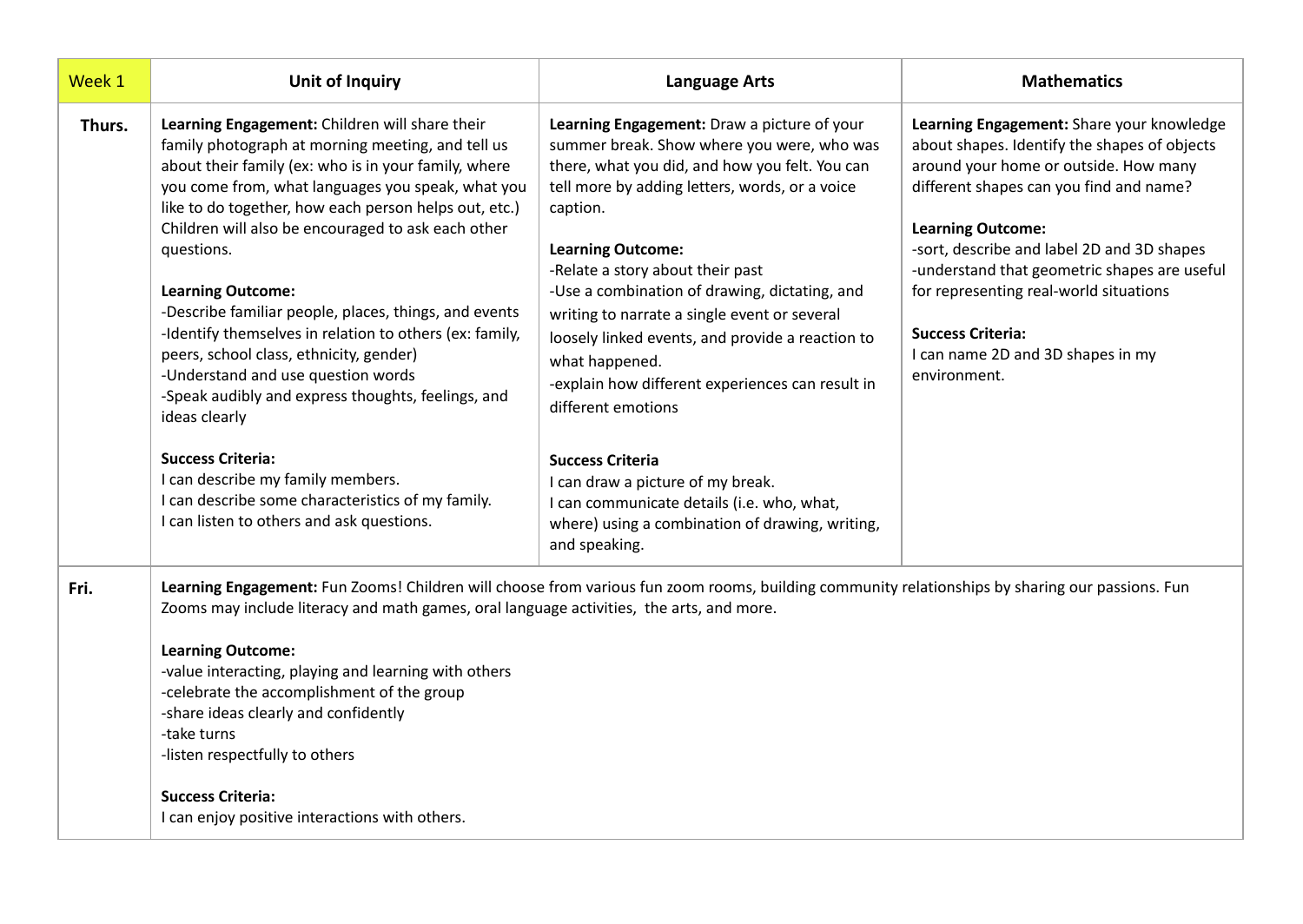| Week 1 | <b>Unit of Inquiry</b>                                                                                                                                                                                                                                                                                                                                                                                                                                                                                                                                                                                                                                                                                                                                                                                                   | <b>Language Arts</b>                                                                                                                                                                                                                                                                                                                                                                                                                                                                                                                                                                                                                                                                                         | <b>Mathematics</b>                                                                                                                                                                                                                                                                                                                                                                                                                 |
|--------|--------------------------------------------------------------------------------------------------------------------------------------------------------------------------------------------------------------------------------------------------------------------------------------------------------------------------------------------------------------------------------------------------------------------------------------------------------------------------------------------------------------------------------------------------------------------------------------------------------------------------------------------------------------------------------------------------------------------------------------------------------------------------------------------------------------------------|--------------------------------------------------------------------------------------------------------------------------------------------------------------------------------------------------------------------------------------------------------------------------------------------------------------------------------------------------------------------------------------------------------------------------------------------------------------------------------------------------------------------------------------------------------------------------------------------------------------------------------------------------------------------------------------------------------------|------------------------------------------------------------------------------------------------------------------------------------------------------------------------------------------------------------------------------------------------------------------------------------------------------------------------------------------------------------------------------------------------------------------------------------|
| Thurs. | Learning Engagement: Children will share their<br>family photograph at morning meeting, and tell us<br>about their family (ex: who is in your family, where<br>you come from, what languages you speak, what you<br>like to do together, how each person helps out, etc.)<br>Children will also be encouraged to ask each other<br>questions.<br><b>Learning Outcome:</b><br>-Describe familiar people, places, things, and events<br>-Identify themselves in relation to others (ex: family,<br>peers, school class, ethnicity, gender)<br>-Understand and use question words<br>-Speak audibly and express thoughts, feelings, and<br>ideas clearly<br><b>Success Criteria:</b><br>I can describe my family members.<br>I can describe some characteristics of my family.<br>I can listen to others and ask questions. | Learning Engagement: Draw a picture of your<br>summer break. Show where you were, who was<br>there, what you did, and how you felt. You can<br>tell more by adding letters, words, or a voice<br>caption.<br><b>Learning Outcome:</b><br>-Relate a story about their past<br>-Use a combination of drawing, dictating, and<br>writing to narrate a single event or several<br>loosely linked events, and provide a reaction to<br>what happened.<br>-explain how different experiences can result in<br>different emotions<br><b>Success Criteria</b><br>I can draw a picture of my break.<br>I can communicate details (i.e. who, what,<br>where) using a combination of drawing, writing,<br>and speaking. | Learning Engagement: Share your knowledge<br>about shapes. Identify the shapes of objects<br>around your home or outside. How many<br>different shapes can you find and name?<br><b>Learning Outcome:</b><br>-sort, describe and label 2D and 3D shapes<br>-understand that geometric shapes are useful<br>for representing real-world situations<br><b>Success Criteria:</b><br>I can name 2D and 3D shapes in my<br>environment. |
| Fri.   | Learning Engagement: Fun Zooms! Children will choose from various fun zoom rooms, building community relationships by sharing our passions. Fun<br>Zooms may include literacy and math games, oral language activities, the arts, and more.<br><b>Learning Outcome:</b><br>-value interacting, playing and learning with others<br>-celebrate the accomplishment of the group<br>-share ideas clearly and confidently<br>-take turns<br>-listen respectfully to others<br><b>Success Criteria:</b><br>I can enjoy positive interactions with others.                                                                                                                                                                                                                                                                     |                                                                                                                                                                                                                                                                                                                                                                                                                                                                                                                                                                                                                                                                                                              |                                                                                                                                                                                                                                                                                                                                                                                                                                    |